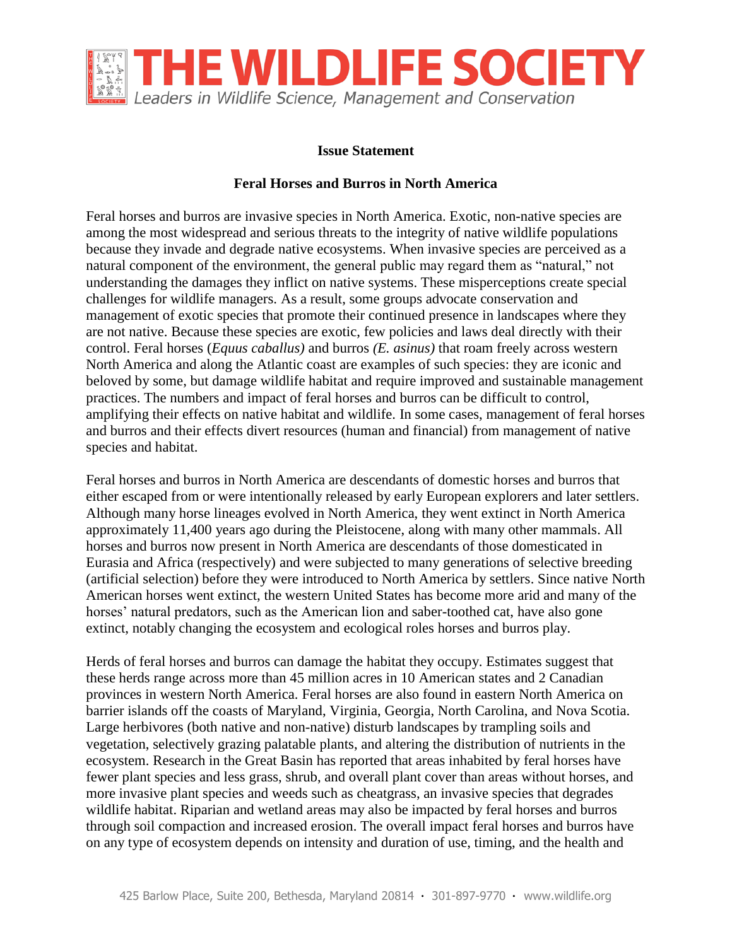

## **Issue Statement**

## **Feral Horses and Burros in North America**

Feral horses and burros are invasive species in North America. Exotic, non-native species are among the most widespread and serious threats to the integrity of native wildlife populations because they invade and degrade native ecosystems. When invasive species are perceived as a natural component of the environment, the general public may regard them as "natural," not understanding the damages they inflict on native systems. These misperceptions create special challenges for wildlife managers. As a result, some groups advocate conservation and management of exotic species that promote their continued presence in landscapes where they are not native. Because these species are exotic, few policies and laws deal directly with their control. Feral horses (*Equus caballus)* and burros *(E. asinus)* that roam freely across western North America and along the Atlantic coast are examples of such species: they are iconic and beloved by some, but damage wildlife habitat and require improved and sustainable management practices. The numbers and impact of feral horses and burros can be difficult to control, amplifying their effects on native habitat and wildlife. In some cases, management of feral horses and burros and their effects divert resources (human and financial) from management of native species and habitat.

Feral horses and burros in North America are descendants of domestic horses and burros that either escaped from or were intentionally released by early European explorers and later settlers. Although many horse lineages evolved in North America, they went extinct in North America approximately 11,400 years ago during the Pleistocene, along with many other mammals. All horses and burros now present in North America are descendants of those domesticated in Eurasia and Africa (respectively) and were subjected to many generations of selective breeding (artificial selection) before they were introduced to North America by settlers. Since native North American horses went extinct, the western United States has become more arid and many of the horses' natural predators, such as the American lion and saber-toothed cat, have also gone extinct, notably changing the ecosystem and ecological roles horses and burros play.

Herds of feral horses and burros can damage the habitat they occupy. Estimates suggest that these herds range across more than 45 million acres in 10 American states and 2 Canadian provinces in western North America. Feral horses are also found in eastern North America on barrier islands off the coasts of Maryland, Virginia, Georgia, North Carolina, and Nova Scotia. Large herbivores (both native and non-native) disturb landscapes by trampling soils and vegetation, selectively grazing palatable plants, and altering the distribution of nutrients in the ecosystem. Research in the Great Basin has reported that areas inhabited by feral horses have fewer plant species and less grass, shrub, and overall plant cover than areas without horses, and more invasive plant species and weeds such as cheatgrass, an invasive species that degrades wildlife habitat. Riparian and wetland areas may also be impacted by feral horses and burros through soil compaction and increased erosion. The overall impact feral horses and burros have on any type of ecosystem depends on intensity and duration of use, timing, and the health and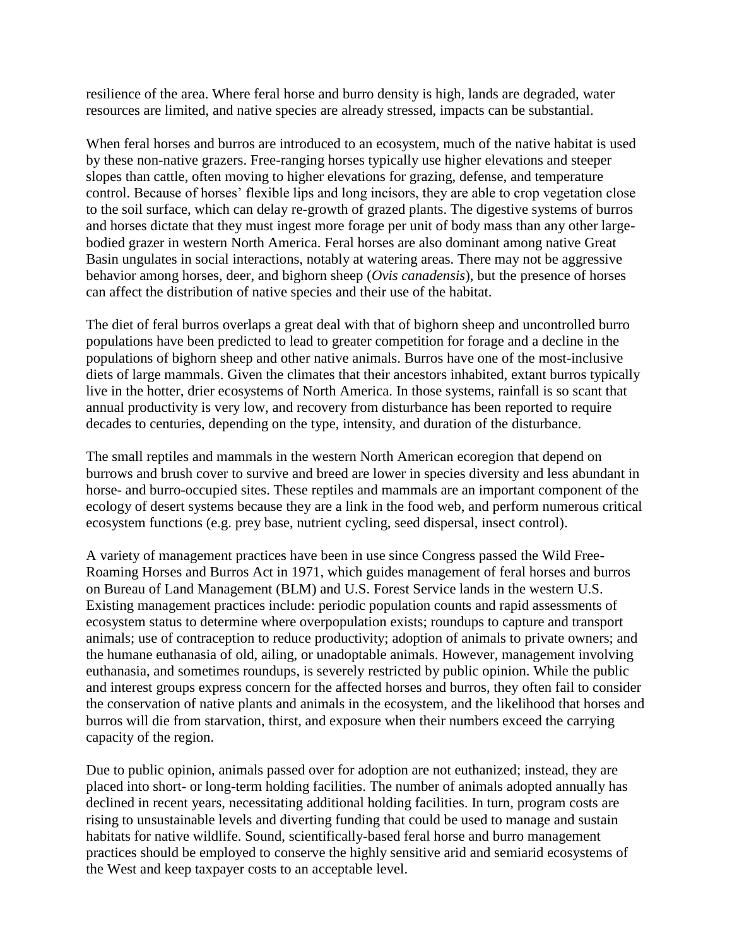resilience of the area. Where feral horse and burro density is high, lands are degraded, water resources are limited, and native species are already stressed, impacts can be substantial.

When feral horses and burros are introduced to an ecosystem, much of the native habitat is used by these non-native grazers. Free-ranging horses typically use higher elevations and steeper slopes than cattle, often moving to higher elevations for grazing, defense, and temperature control. Because of horses' flexible lips and long incisors, they are able to crop vegetation close to the soil surface, which can delay re-growth of grazed plants. The digestive systems of burros and horses dictate that they must ingest more forage per unit of body mass than any other largebodied grazer in western North America. Feral horses are also dominant among native Great Basin ungulates in social interactions, notably at watering areas. There may not be aggressive behavior among horses, deer, and bighorn sheep (*Ovis canadensis*), but the presence of horses can affect the distribution of native species and their use of the habitat.

The diet of feral burros overlaps a great deal with that of bighorn sheep and uncontrolled burro populations have been predicted to lead to greater competition for forage and a decline in the populations of bighorn sheep and other native animals. Burros have one of the most-inclusive diets of large mammals. Given the climates that their ancestors inhabited, extant burros typically live in the hotter, drier ecosystems of North America. In those systems, rainfall is so scant that annual productivity is very low, and recovery from disturbance has been reported to require decades to centuries, depending on the type, intensity, and duration of the disturbance.

The small reptiles and mammals in the western North American ecoregion that depend on burrows and brush cover to survive and breed are lower in species diversity and less abundant in horse- and burro-occupied sites. These reptiles and mammals are an important component of the ecology of desert systems because they are a link in the food web, and perform numerous critical ecosystem functions (e.g. prey base, nutrient cycling, seed dispersal, insect control).

A variety of management practices have been in use since Congress passed the Wild Free-Roaming Horses and Burros Act in 1971, which guides management of feral horses and burros on Bureau of Land Management (BLM) and U.S. Forest Service lands in the western U.S. Existing management practices include: periodic population counts and rapid assessments of ecosystem status to determine where overpopulation exists; roundups to capture and transport animals; use of contraception to reduce productivity; adoption of animals to private owners; and the humane euthanasia of old, ailing, or unadoptable animals. However, management involving euthanasia, and sometimes roundups, is severely restricted by public opinion. While the public and interest groups express concern for the affected horses and burros, they often fail to consider the conservation of native plants and animals in the ecosystem, and the likelihood that horses and burros will die from starvation, thirst, and exposure when their numbers exceed the carrying capacity of the region.

Due to public opinion, animals passed over for adoption are not euthanized; instead, they are placed into short- or long-term holding facilities. The number of animals adopted annually has declined in recent years, necessitating additional holding facilities. In turn, program costs are rising to unsustainable levels and diverting funding that could be used to manage and sustain habitats for native wildlife. Sound, scientifically-based feral horse and burro management practices should be employed to conserve the highly sensitive arid and semiarid ecosystems of the West and keep taxpayer costs to an acceptable level.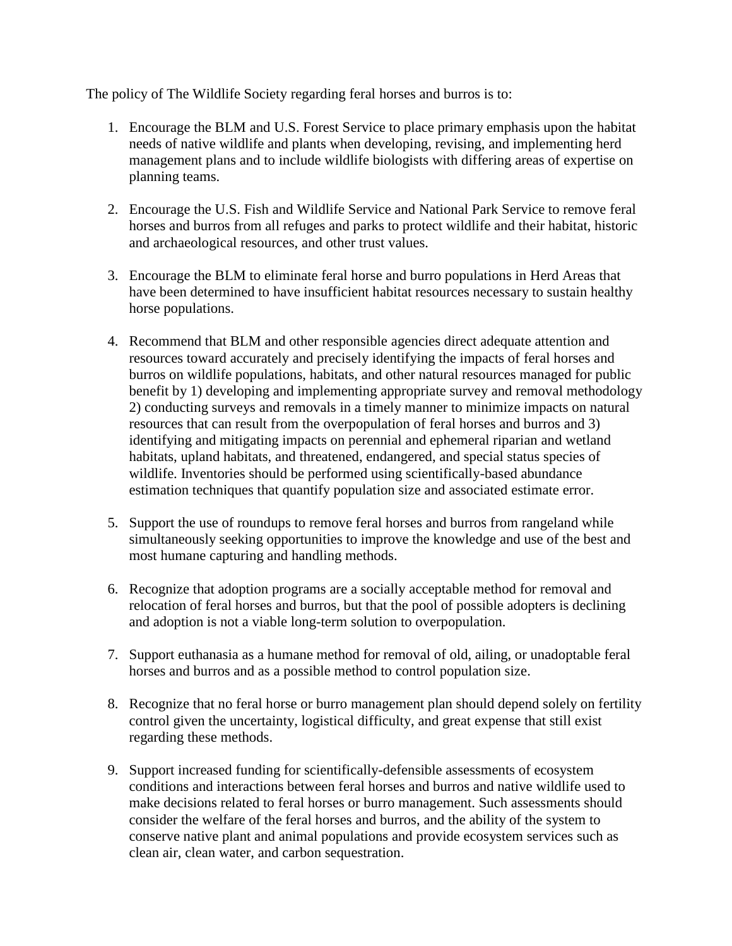The policy of The Wildlife Society regarding feral horses and burros is to:

- 1. Encourage the BLM and U.S. Forest Service to place primary emphasis upon the habitat needs of native wildlife and plants when developing, revising, and implementing herd management plans and to include wildlife biologists with differing areas of expertise on planning teams.
- 2. Encourage the U.S. Fish and Wildlife Service and National Park Service to remove feral horses and burros from all refuges and parks to protect wildlife and their habitat, historic and archaeological resources, and other trust values.
- 3. Encourage the BLM to eliminate feral horse and burro populations in Herd Areas that have been determined to have insufficient habitat resources necessary to sustain healthy horse populations.
- 4. Recommend that BLM and other responsible agencies direct adequate attention and resources toward accurately and precisely identifying the impacts of feral horses and burros on wildlife populations, habitats, and other natural resources managed for public benefit by 1) developing and implementing appropriate survey and removal methodology 2) conducting surveys and removals in a timely manner to minimize impacts on natural resources that can result from the overpopulation of feral horses and burros and 3) identifying and mitigating impacts on perennial and ephemeral riparian and wetland habitats, upland habitats, and threatened, endangered, and special status species of wildlife. Inventories should be performed using scientifically-based abundance estimation techniques that quantify population size and associated estimate error.
- 5. Support the use of roundups to remove feral horses and burros from rangeland while simultaneously seeking opportunities to improve the knowledge and use of the best and most humane capturing and handling methods.
- 6. Recognize that adoption programs are a socially acceptable method for removal and relocation of feral horses and burros, but that the pool of possible adopters is declining and adoption is not a viable long-term solution to overpopulation.
- 7. Support euthanasia as a humane method for removal of old, ailing, or unadoptable feral horses and burros and as a possible method to control population size.
- 8. Recognize that no feral horse or burro management plan should depend solely on fertility control given the uncertainty, logistical difficulty, and great expense that still exist regarding these methods.
- 9. Support increased funding for scientifically-defensible assessments of ecosystem conditions and interactions between feral horses and burros and native wildlife used to make decisions related to feral horses or burro management. Such assessments should consider the welfare of the feral horses and burros, and the ability of the system to conserve native plant and animal populations and provide ecosystem services such as clean air, clean water, and carbon sequestration.